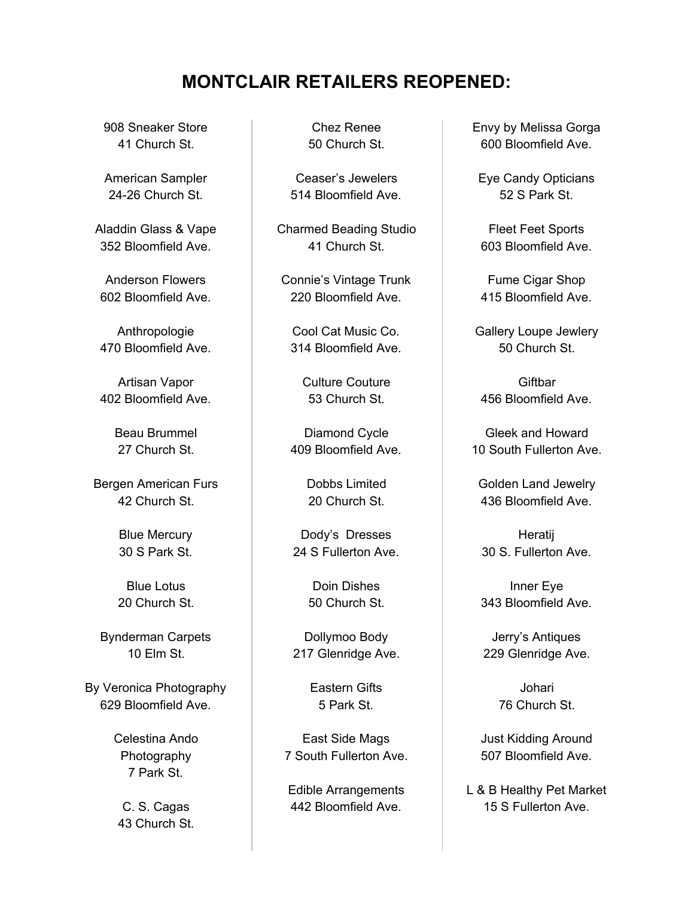## **MONTCLAIR RETAILERS REOPENED:**

908 Sneaker Store 41 Church St.

American Sampler 24-26 Church St.

Aladdin Glass & Vape 352 Bloomfield Ave.

Anderson Flowers 602 Bloomfield Ave.

Anthropologie 470 Bloomfield Ave.

Artisan Vapor 402 Bloomfield Ave.

> Beau Brummel 27 Church St.

Bergen American Furs 42 Church St.

> Blue Mercury 30 S Park St.

Blue Lotus 20 Church St.

Bynderman Carpets 10 Elm St.

By Veronica Photography 629 Bloomfield Ave.

> Celestina Ando Photography 7 Park St.

C. S. Cagas 43 Church St.

Chez Renee 50 Church St.

Ceaser's Jewelers 514 Bloomfield Ave.

Charmed Beading Studio 41 Church St.

Connie's Vintage Trunk 220 Bloomfield Ave.

Cool Cat Music Co. 314 Bloomfield Ave.

Culture Couture 53 Church St.

Diamond Cycle 409 Bloomfield Ave.

> Dobbs Limited 20 Church St.

Dody's Dresses 24 S Fullerton Ave.

> Doin Dishes 50 Church St.

Dollymoo Body 217 Glenridge Ave.

> Eastern Gifts 5 Park St.

East Side Mags 7 South Fullerton Ave.

Edible Arrangements 442 Bloomfield Ave.

Envy by Melissa Gorga 600 Bloomfield Ave.

Eye Candy Opticians 52 S Park St.

Fleet Feet Sports 603 Bloomfield Ave.

Fume Cigar Shop 415 Bloomfield Ave.

Gallery Loupe Jewlery 50 Church St.

**Giftbar** 456 Bloomfield Ave.

Gleek and Howard 10 South Fullerton Ave.

Golden Land Jewelry 436 Bloomfield Ave.

Heratij 30 S. Fullerton Ave.

Inner Eye 343 Bloomfield Ave.

Jerry's Antiques 229 Glenridge Ave.

> Johari 76 Church St.

Just Kidding Around 507 Bloomfield Ave.

L & B Healthy Pet Market 15 S Fullerton Ave.